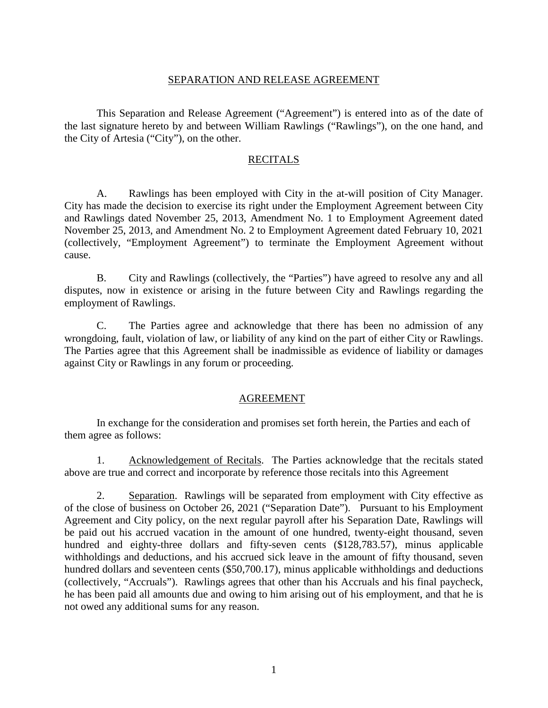## SEPARATION AND RELEASE AGREEMENT

This Separation and Release Agreement ("Agreement") is entered into as of the date of the last signature hereto by and between William Rawlings ("Rawlings"), on the one hand, and the City of Artesia ("City"), on the other.

### RECITALS

A. Rawlings has been employed with City in the at-will position of City Manager. City has made the decision to exercise its right under the Employment Agreement between City and Rawlings dated November 25, 2013, Amendment No. 1 to Employment Agreement dated November 25, 2013, and Amendment No. 2 to Employment Agreement dated February 10, 2021 (collectively, "Employment Agreement") to terminate the Employment Agreement without cause.

B. City and Rawlings (collectively, the "Parties") have agreed to resolve any and all disputes, now in existence or arising in the future between City and Rawlings regarding the employment of Rawlings.

C. The Parties agree and acknowledge that there has been no admission of any wrongdoing, fault, violation of law, or liability of any kind on the part of either City or Rawlings. The Parties agree that this Agreement shall be inadmissible as evidence of liability or damages against City or Rawlings in any forum or proceeding.

# AGREEMENT

In exchange for the consideration and promises set forth herein, the Parties and each of them agree as follows:

1. Acknowledgement of Recitals. The Parties acknowledge that the recitals stated above are true and correct and incorporate by reference those recitals into this Agreement

2. Separation. Rawlings will be separated from employment with City effective as of the close of business on October 26, 2021 ("Separation Date"). Pursuant to his Employment Agreement and City policy, on the next regular payroll after his Separation Date, Rawlings will be paid out his accrued vacation in the amount of one hundred, twenty-eight thousand, seven hundred and eighty-three dollars and fifty-seven cents (\$128,783.57), minus applicable withholdings and deductions, and his accrued sick leave in the amount of fifty thousand, seven hundred dollars and seventeen cents (\$50,700.17), minus applicable withholdings and deductions (collectively, "Accruals"). Rawlings agrees that other than his Accruals and his final paycheck, he has been paid all amounts due and owing to him arising out of his employment, and that he is not owed any additional sums for any reason.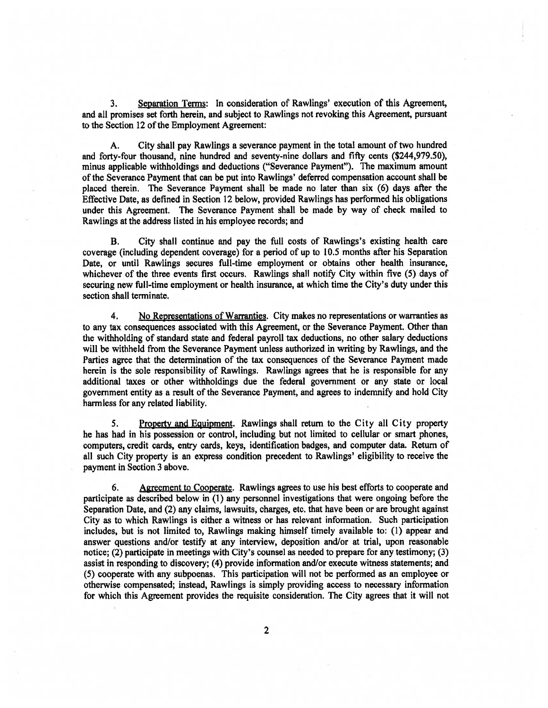3. Separation Terms: In consideration of Rawlings' execution of this Agreement, and all promises set forth herein, and subject to Rawlings not revoking this Agreement, pursuan<sup>t</sup> to the Section 12 of the Employment Agreement:

A. City shall pay Rawlings <sup>a</sup> severance paymen<sup>t</sup> in the total amount of two hundred and forty-four thousand, nine hundred and seventy-nine dollars and fifty cents (\$244,979.50), minus applicable withholdings and deductions ("Severance Payment"). The maximum amount of the Severance Payment that can be pu<sup>t</sup> into Rawlings' deferred compensation account shall be placed therein. The Severance Payment shall be made no later than six (6) days after the Effective Date, as defined in Section 12 below, provided Rawlings has performed his obligations under this Agreement. The Severance Payment shall be made by way of check mailed to Rawlings at the address listed in his employee records; and

B. City shall continue and pay the full costs of Rawlings's existing health care coverage (including dependent coverage) for <sup>a</sup> period of up to 10.5 months after his Separation Date, or until Rawlings secures full-time employment or obtains other health insurance, whichever of the three events first occurs. Rawlings shall notify City within five (5) days of securing new full-time employment or health insurance, at which time the City's duty under this section shall terminate,

4. No Representations of Warranties. City makes no representations or warranties as to any tax consequences associated with this Agreement, or the Severance Payment. Other than the withholding of standard state and federal payroll tax deductions, no other salary deductions will be withheld from the Severance Payment unless authorized in writing by Rawlings, and the Parties agree that the determination of the tax consequences of the Severance Payment made herein is the sole responsibility of Rawlings. Rawlings agrees that he is responsible for any additional taxes or other withholdings due the federal governmen<sup>t</sup> or any state or local governmen<sup>t</sup> entity as <sup>a</sup> result of the Severance Payment, and agrees to indemnify and hold City harmless for any related liability.

5. Property and Equipment. Rawlings shall return to the City all City property he has had in his possession or control, including but not limited to cellular or smart phones, computers, credit cards, entry cards, keys, identification badges, and computer data. Return of all such City property is an express condition precedent to Rawlings' eligibility to receive the paymen<sup>t</sup> in Section 3 above.

6. Agrecment to Cooperate. Rawlings agrees to use his best efforts to cooperate and participate as described below in (1) any personne<sup>l</sup> investigations that were ongoing before the Separation Date, and (2) any claims, lawsuits, charges, etc. that have been or are brought against City as to which Rawlings is either <sup>a</sup> witness or has relevant information. Such participation includes, but is not limited to, Rawlings making himself timely available to: (1) appear and answer questions and/or testify at any interview, deposition and/or at trial, upon reasonable notice; (2) participate in meetings with City's counsel as needed to prepare for any testimony; (3) assist in responding to discovery; (4) provide information and/or execute witness statements; and (5) cooperate with any subpoenas. This participation wilL not be performed as an employee or otherwise compensated; instead, Rawlings is simply providing access to necessary information for which this Agreement provides the requisite consideration. The City agrees that it will not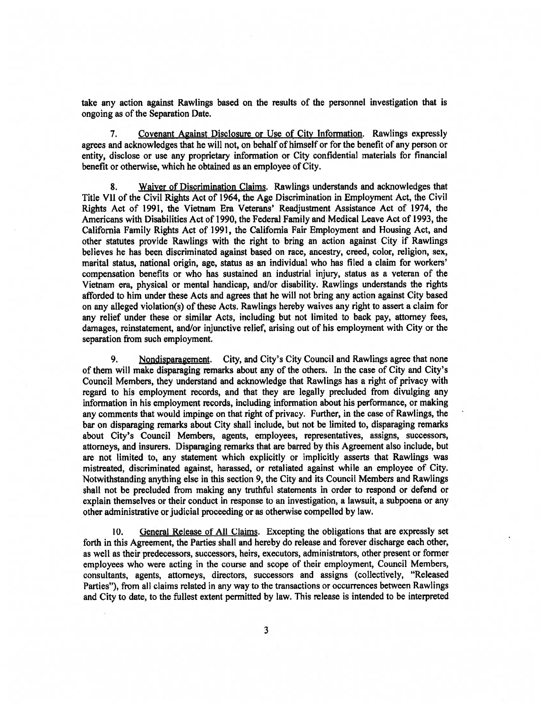take any action against Rawlings based on the results of the personnel investigation that is ongoing as of the Separation Date.

7. Covenant Against Disclosure or Use of City Information, Rawlings expressly agrees and acknowledges that he will not, on behalf of himself or for the benefit of any person or entity, disclose or use any proprietary information or City confidential materials for financial benefit or otherwise, which he obtained as an employee of City.

8. Waiver of Discrimination Claims, Rawlings understands and acknowledges that Title VII of the Civil Rights Act of 1964, the Age Discrimination in Employment Act, the Civil Rights Act of 1991, the Vietnam Era Veterans' Readjustment Assistance Act of 1974, the Americans with Disabilities Act of 1990, the Federal Family and Medical Leave Act of 1993, the California Family Rights Act of 1991, the California Fair Employment and Housing Act, and other statutes provide Rawlings with the right to bring an action against City if Rawlings believes he has been discriminated against based on race, ancestry, creed, color, religion, sex, marital status, national origin, age, status as an individual who has filed <sup>a</sup> claim for workers' compensation benefits or who has sustained an industrial injury, status as <sup>a</sup> veteran of the Vietnam era, physical or mental handicap, and/or disability. Rawlings understands the rights afforded to him under these Acts and agrees that he will not bring any action against City based on any alleged violation(s) ofthese Acts. Rawlings hereby waives any right to assert <sup>a</sup> claim for any relief under these or similar Acts, including but not limited to back pay, attorney fees, damages, reinstatement, and/or injunctive relief, arising out of his employment with City or the separation from such employment.

9. Nondisparagement. City, and City's City Council and Rawlings agree that none of them will make disparaging remarks about any of the others. In the case of City and City's Council Members, they understand and acknowledge that Rawlings has <sup>a</sup> right of privacy with regard to his employment records, and that they are legally precluded from divulging any information in his employment records, including information about his performance, or making any comments that would impinge on that right of privacy. Further, in the case of Rawlings, the bar on disparaging remarks about City shall include, but not be limited to, disparaging remarks about City's Council Members, agents, employees, representatives, assigns, successors, attorneys, and insurers. Disparaging remarks that are barred by this Agreement also include, but are not limited to, any statement which explicitly or implicitly asserts that Rawlings was mistreated, discriminated against, harassed, or retaliated against while an employee of City. Notwithstanding anything else in this section 9, the City and its Council Members and Rawlings shall not be precluded from making any truthful statements in order to respond or defend or explain themselves or their conduct in response to an investigation, <sup>a</sup> lawsuit, <sup>a</sup> subpoena or any other administrative or judicial proceeding or as otherwise compelled by law,

10. General Release of All Claims. Excepting the obligations that are expressly set forth in this Agreement, the Parties shall and hereby do release and forever discharge each other, as well as their predecessors, successors, heirs, executors, administrators, other presen<sup>t</sup> or former employees who were acting in the course and scope of their employment, Council Members, consultants, agents, attorneys, directors, successors and assigns (collectively, "Released Parties"), from all claims related in any way to the transactions or occurrences between Rawlings and City to date, to the fullest extent permitted by law. This release is intended to be interpreted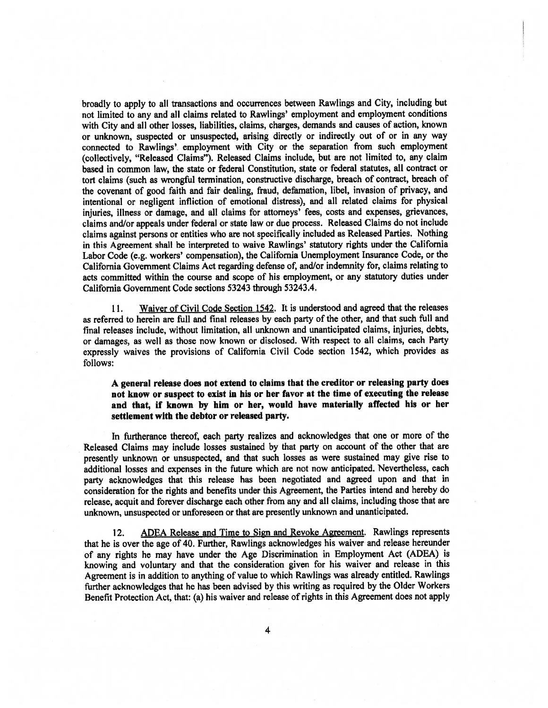broadly to apply to all transactions and occurrences between Rawlings and City, including but not limited to any and all claims related to Rawlings' employment and employment conditions with City and all other losses, liabilities, claims, charges, demands and causes of action, known or unknown, suspected or unsuspected, arising directly or indirectly out of or in any way connected to Rawlings'. employment with City or the separation from such employment (collectively, "Released Claims"). Released Claims include, but are not limited to, any claim based in common law, the state or federal Constitution, state or federal statutes, all contract or tort claims (such as wrongful termination, constructive discharge, breach of contract, breach of the covenant of goo<sup>d</sup> faith and fair dealing, fraud, defamation, libel, invasion of privacy, and intentional or negligent infliction of emotional distress), and all related claims for <sup>p</sup>hysical injuries, illness or damage, and all claims for attorneys' fees, costs and expenses, grievances, claims and/or appeals under federal or state law or due process. Released Claims do not include claims against persons or entities who are not specifically included as Released Parties, Nothing in this Agreement shall be interpreted to waive Rawlings' statutory rights under the California Labor Code (e.g. workers' compensation), the California Unemployment Insurance Code, or the California Government Claims Act regarding defense of, and/or indemnity for, claims relating to acts committed within the course and scope of his employment, or any statutory duties under California Government Code sections 53243 through 53243.4.

11. Waiver of Civil Code Section 1542. It is understood and agreed that the releases as referred to herein are full and final releases by each party of the other, and that such full and final releases include, without limitation, all unknown and unanticipated claims, injuries, debts, or damages, as well as those now known or disclosed. With respec<sup>t</sup> to all claims, each Party expressly waives the provisions of California Civil Code section 1542, which provides as follows:

<sup>A</sup> genera<sup>l</sup> release does not extend to claims that the creditor or releasing party does not know or suspec<sup>t</sup> to exist in his or her favor at the time of executing the release and that, if known by him or her, would have materially affected his or her settlement with the debtor or released party.

In furtherance thereof, each party realizes and acknowledges that one or more of the Released Claims may include losses sustained by that party on account of the other that are presently unknown or unsuspected, and that such losses as were sustained may <sup>g</sup>ive rise to additional losses and expenses in the future which are not now anticipated. Nevertheless, each party acknowledges that this release has been negotiated and agree<sup>d</sup> upon and that in consideration for the rights and benefits under this Agreement, the Parties intend and hereby do release, acquit and forever discharge each other from any and all claims, including those that are unknown, unsuspected or unforeseen or that are presently unknown and unanticipated.

12. ADEA Release and Time to Sign and Revoke Agreement. Rawlings represents that he is over the age of 40, Further, Rawlings acknowledges his waiver and release hereunder of any rights he may have under the Age Discrimination in Employment Act (ADEA) is knowing and voluntary and that the consideration <sup>g</sup>iven for his waiver and release in this Agreement is in addition to anything of value to which Rawlings was already entitled. Rawlings further acknowledges that he has been advised by this writing as required by the Older Workers Benefit Protection Act, that: (a) his waiver and release of rights in this Agreement does not apply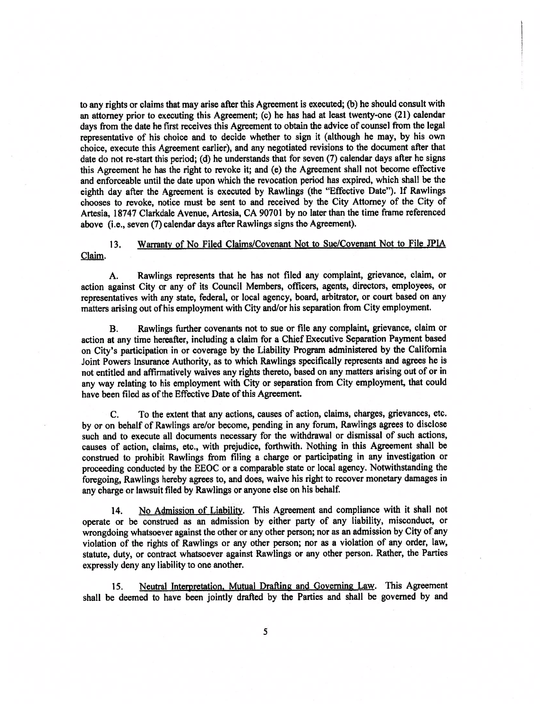to any rights or claims that may arise after this Agreement is executed; (b) he should consult with an attorney prior to executing this Agreement; (c) he has had at least twenty-one (21) calendar days from the date he first receives this Agreement to obtain the advice of counsel from the legal representative of his choice and to decide whether to sign it (although he may, by his own choice, execute this Agreement earlier), and any negotiated revisions to the document after that date do not re-start this period; (d) he understands that for seven (7) calendar days after he signs this Agreement he has the right to revoke it; and (e) the Agreement shall not become effective and enforceable until the date upon which the revocation period has expired, which shall be the eighth day after the Agreement is executed by Rawlings (the "Effective Date"). If Rawlings chooses to revoke, notice must be sent to and received by the City Attorney of the City of Artesia, 18747 Clarkdale Avenue, Artesia, CA 90701 by no later than the time frame referenced above (i.e., seven (7) calendar days after Rawlings signs the Agreement).

#### 13. Warranty of No Filed Claims/Covenant Not to Sue/Covenant Not to File JPIA Claim.

A. Rawlings represents that he has not filed any complaint, grievance, claim, or action against City or any of its Council Members, officers, agents, directors, employees, or representatives with any state, federal, or local agency, board, arbitrator, or court based on any matters arising out of his employment with City and/or his separation from City employment.

B. Rawlings further covenants not to sue or file any complaint, grievance, claim or action at any time hereafter, including <sup>a</sup> claim for <sup>a</sup> Chief Executive Separation Payment based on City's participation in or coverage by the Liability Program administered by the California Joint Powers insurance Authority, as to which Rawlings specifically represents and agrees he is not entitled and affirmatively waives any rights thereto, based on any matters arising out of or in any way relating to his employment with City or separation from City employment, that could have been filed as of the Effective Date of this Agreement.

C. To the extent that any actions, causes of action, claims, charges, grievances, etc. by or on behalf of Rawlings are/or become, pending in any forum, Rawlings agrees to disclose such and to execute all documents necessary for the withdrawal or dismissal of such actions, causes of action, claims, etc., with prejudice, forthwith. Nothing in this Agreement shall be construed to prohibit Rawlings from filing <sup>a</sup> charge or participating in any investigation or proceeding conducted by the EEOC or <sup>a</sup> comparable state or local agency. Notwithstanding the foregoing, Rawlings hereby agrees to, and does, waive his right to recover monetary damages in any charge or lawsuit filed by Rawlings or anyone else on his behalf,

14. No Admission of Liability. This Agreement and compliance with it shall not operate or be construed as an admission by either party of any liability, misconduct, or wrongdoing whatsoever against the other or any other person; nor as an admission by City of any violation of the rights of Rawlings or any other person; nor as <sup>a</sup> violation of any order, law, statute, duty, or contract whatsoever against Rawlings or any other person. Rather, the Parties expressly deny any liability to one another.

15. Neutral Interpretation. Mutual Drafting and Governing Law. This Agreement shall be deemed to have been jointly drafted by the Parties and shall be governe<sup>d</sup> by and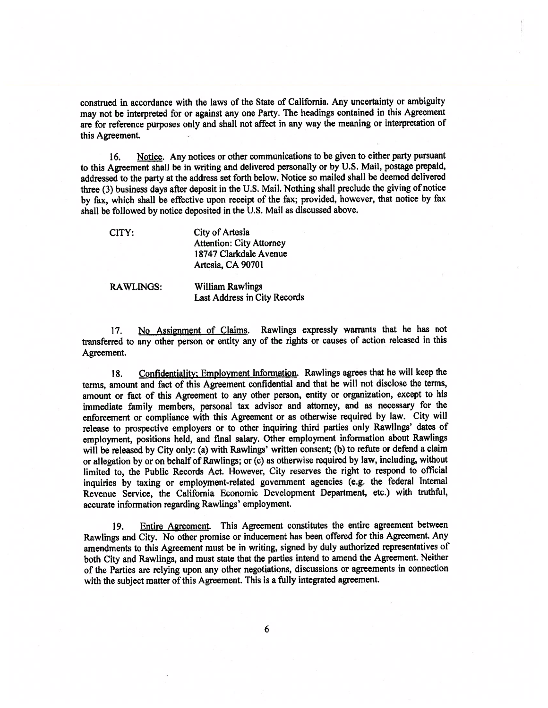construed in accordance with the laws of the State of California. Any uncertainty or ambiguity may not be interpreted for or against any one Party. The headings contained in this Agreement are for reference purposes only and shall not affect in any way the meaning or interpretation of this Agreement.

16. Notice. Any notices or other communications to be <sup>g</sup>iven to either party pursuan<sup>t</sup> to this Agreement shall be in writing and delivered personally or by U.S. Mail, postage prepaid, addressed to the party at the address set forth below. Notice so mailed shall be deemed delivered three (3) business days after deposit in the U.S. Mail. Nothing shall preclude the <sup>g</sup>iving of notice by fax, which shall be effective upon receipt of the fax; provided, however, that notice by fax shall be followed by notice deposited in the U.S. Mail as discussed above.

CiTY: City of Artesia Attention: City Attorney 18747 Clarkdale Avenue Artesia, CA 90701

RAWLINGS: William Rawlings Last Address in City Records

17. No Assignment of Claims. Rawlings expressly warrants that he has not transferred to any other person or entity any of the rights or causes of action released in this Agreement.

18. Confidentiality: Employment Information. Rawlings agrees that he will keep the terms, amount and fact of this Agreement confidential and that he will not disclose the terms, amount or fact of this Agreement to any other person, entity or organization, excep<sup>t</sup> to his immediate family members, persona<sup>l</sup> tax advisor and attorney, and as necessary for the enforcement or compliance with this Agreement or as otherwise required by law. City will release to prospective employers or to other inquiring third parties only Rawlings' dates of employment, positions held, and final salary. Other employment information about Rawlings will be released by City only: (a) with Rawlings' written consent; (b) to refute or defend a claim or allegation by or on behalf of Rawlings; or (c) as otherwise required by law, including, without limited to, the Public Records Act. However, City reserves the right to respon<sup>d</sup> to official inquiries by taxing or employment-related governmen<sup>t</sup> agencies (e.g. the federal internal Revenue Service, the California Economic Development Department, etc.) with truthful, accurate information regarding Rawlings' employment.

19. Entire Agreement. This Agreement constitutes the entire agreemen<sup>t</sup> between Rawlings and City. No other promise or inducement has been offered for this Agreement. Any amendments to this Agreement must be in writing, signed by duly authorized representatives of both City and Rawlings, and must state that the parties intend to amend the Agreement. Neither of the Parties are relying upon any other negotiations, discussions or agreements in connection with the subject matter of this Agreement. This is <sup>a</sup> fully integrated agreement.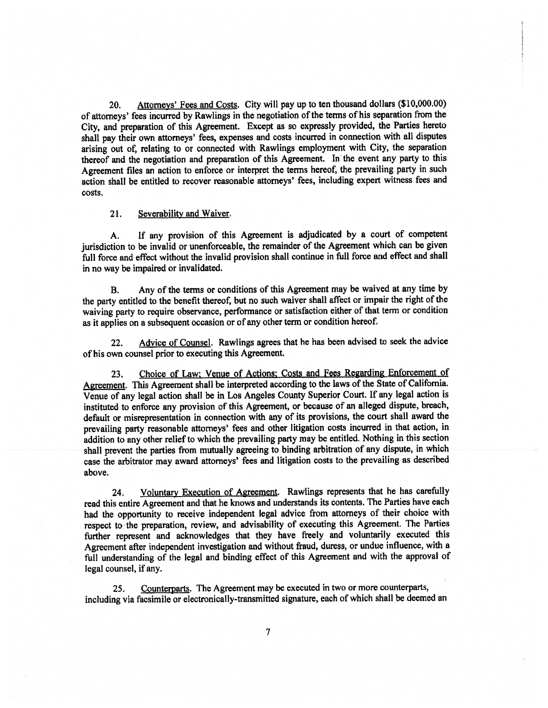20. Attorneys' Fees and Costs. City will pay up to ten thousand dollars (\$10,000.00) of attorneys' fees incurred by Rawlings in the negotiation of the terms of his separation from the City, and preparation of this Agreement. Except as so expressly provided, the Parties hereto shall pay their own attorneys' fees, expenses and costs incurred in connection with all disputes arising out of, relating to or connected with Rawlings employment with City, the separation thereof and the negotiation and preparation of this Agreement. In the event any party to this Agreement files an action to enforce or interpret the terms hereof, the prevailing party in such action shall be entitled to recover reasonable attorneys' fees, including exper<sup>t</sup> witness fees and costs.

#### 21. Severability and Waiver.

A. If any provision of this Agreement is adjudicated by <sup>a</sup> court of competent jurisdiction to be invalid or unenforceable, the remainder of the Agreement which can be given full force and effect without the invalid provision shall continue in full force and effect and shall in no way be impaired or invalidated.

B. Any of the terms or conditions of this Agreement may be waived at any time by the party entitled to the benefit thereof, but no such waiver shall affect or impair the right of the waiving party to require observance, performance or satisfaction either of that term or condition as it applies on <sup>a</sup> subsequent occasion or of any other term or condition hereof.

22. Advice of Counsel. Rawlings agrees that he has been advised to seek the advice of his own counsel prior to executing this Agreement.

23. Choice of Law: Venue of Actions: Costs and Fees Regarding Enforcement of Agreement. This Agreement shall be interpreted according to the laws of the State of California. Venue of any legal action shall be in Los Angeles County Superior Court. If any legal action is instituted to enforce any provision of this Agreement, or because of an alleged dispute, breach, default or misrepresentation in connection with any of its provisions, the court shall award the prevailing party reasonable attorneys' fees and other litigation costs incurred in that action, in addition to any other relief to which the prevailing party may be entitled. Nothing in this section shall preven<sup>t</sup> the parties from mutually agreeing to binding arbitration of any dispute, in which case the arbitrator may award attorneys' fees and litigation costs to the prevailing as described above.

24. Voluntary Execution of Agreement. Rawlings represents that he has carefully read this entire Agreement and that he knows and understands its contents. The Parties have each bad the opportunity to receive independent legal advice from attorneys of their choice with respec<sup>t</sup> to the preparation, review, and advisability of executing this Agreement. The Parties further represen<sup>t</sup> and acknowledges that they have freely and voluntarily executed this Agreement after independent investigation and without fraud, duress, or undue influence, with <sup>a</sup> full understanding of the legal and binding effect of this Agreement and with the approva<sup>l</sup> of legal counsel, if any.

25. Counterparts. The Agreement may be executed in two or more counterparts, including via facsimile or electronically-transmitted signature, each of which shall be deemed an